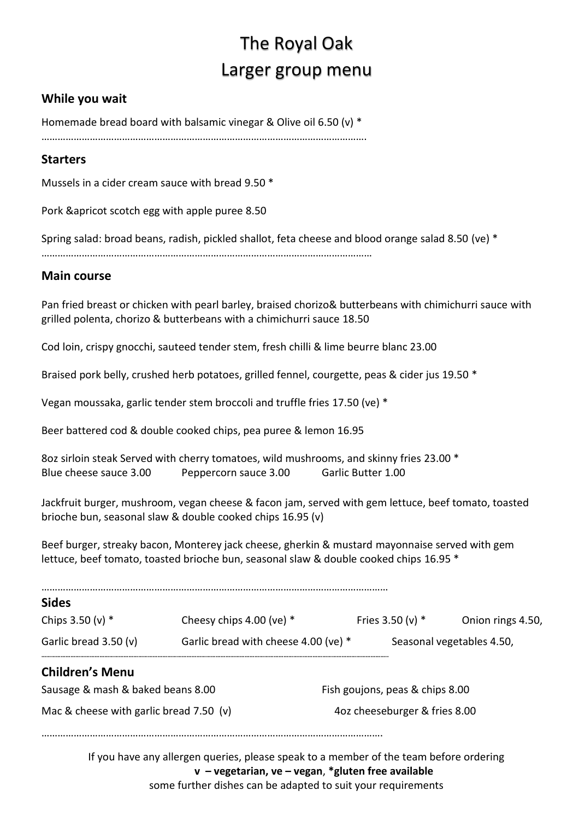# The Royal Oak Larger group menu

#### **While you wait**

Homemade bread board with balsamic vinegar & Olive oil 6.50 (v) \*

………………………………………………………………………………………………………….

#### **Starters**

Mussels in a cider cream sauce with bread 9.50 \*

Pork &apricot scotch egg with apple puree 8.50

Spring salad: broad beans, radish, pickled shallot, feta cheese and blood orange salad 8.50 (ve) \*

……………………………………………………………………………………………………………

#### **Main course**

Pan fried breast or chicken with pearl barley, braised chorizo& butterbeans with chimichurri sauce with grilled polenta, chorizo & butterbeans with a chimichurri sauce 18.50

Cod loin, crispy gnocchi, sauteed tender stem, fresh chilli & lime beurre blanc 23.00

Braised pork belly, crushed herb potatoes, grilled fennel, courgette, peas & cider jus 19.50 \*

Vegan moussaka, garlic tender stem broccoli and truffle fries 17.50 (ve) \*

Beer battered cod & double cooked chips, pea puree & lemon 16.95

8oz sirloin steak Served with cherry tomatoes, wild mushrooms, and skinny fries 23.00 \* Blue cheese sauce 3.00 Peppercorn sauce 3.00 Garlic Butter 1.00

Jackfruit burger, mushroom, vegan cheese & facon jam, served with gem lettuce, beef tomato, toasted brioche bun, seasonal slaw & double cooked chips 16.95 (v)

Beef burger, streaky bacon, Monterey jack cheese, gherkin & mustard mayonnaise served with gem lettuce, beef tomato, toasted brioche bun, seasonal slaw & double cooked chips 16.95 \*

| Cheesy chips $4.00$ (ve) $*$            |  |                                 | Onion rings 4.50,                                                                                            |  |
|-----------------------------------------|--|---------------------------------|--------------------------------------------------------------------------------------------------------------|--|
| Garlic bread with cheese 4.00 (ve) *    |  | Seasonal vegetables 4.50,       |                                                                                                              |  |
|                                         |  |                                 |                                                                                                              |  |
| Sausage & mash & baked beans 8.00       |  | Fish goujons, peas & chips 8.00 |                                                                                                              |  |
| Mac & cheese with garlic bread 7.50 (v) |  | 4oz cheeseburger & fries 8.00   |                                                                                                              |  |
|                                         |  |                                 |                                                                                                              |  |
|                                         |  |                                 | Fries $3.50 (v)$ *<br>If you have any allergen queries, please speak to a member of the team before ordering |  |

**v – vegetarian, ve – vegan**, **\*gluten free available**

some further dishes can be adapted to suit your requirements